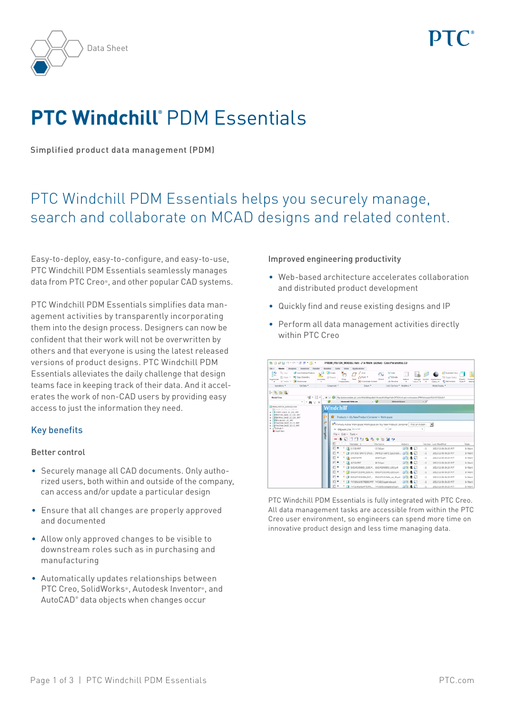



# **PTC Windchill®** PDM Essentials

Simplified product data management (PDM)

# PTC Windchill PDM Essentials helps you securely manage, search and collaborate on MCAD designs and related content.

Easy-to-deploy, easy-to-configure, and easy-to-use, PTC Windchill PDM Essentials seamlessly manages data from PTC Creo®, and other popular CAD systems.

PTC Windchill PDM Essentials simplifies data management activities by transparently incorporating them into the design process. Designers can now be confident that their work will not be overwritten by others and that everyone is using the latest released versions of product designs. PTC Windchill PDM Essentials alleviates the daily challenge that design teams face in keeping track of their data. And it accelerates the work of non-CAD users by providing easy access to just the information they need.

# Key benefits

#### Better control

- Securely manage all CAD documents. Only authorized users, both within and outside of the company, can access and/or update a particular design
- • Ensure that all changes are properly approved and documented
- • Allow only approved changes to be visible to downstream roles such as in purchasing and manufacturing
- • Automatically updates relationships between PTC Creo, SolidWorks®, Autodesk Inventor®, and AutoCAD® data objects when changes occur

#### Improved engineering productivity

- • Web-based architecture accelerates collaboration and distributed product development
- • Quickly find and reuse existing designs and IP
- • Perform all data management activities directly within PTC Creo

| BD9801012815                                                                                                                                                            |                          |                                                                                                         |                          | PRISM_PISTON_MODULE Rev. - 2 In Work_(Active) - Creo Parametric 2.0                                             |           |                                                |                          |                            |                 |                                                                                                   |                                                        |  |
|-------------------------------------------------------------------------------------------------------------------------------------------------------------------------|--------------------------|---------------------------------------------------------------------------------------------------------|--------------------------|-----------------------------------------------------------------------------------------------------------------|-----------|------------------------------------------------|--------------------------|----------------------------|-----------------|---------------------------------------------------------------------------------------------------|--------------------------------------------------------|--|
| File +<br><b>Model</b><br>Analysis<br>Annatate                                                                                                                          | Manikin<br>Flencher      | Tools                                                                                                   | View                     | Arelications:                                                                                                   |           |                                                |                          |                            |                 |                                                                                                   |                                                        |  |
| $q_{L}$<br>Ro Corr<br><b>CP</b> User Detired Feature<br>-gal<br><b>F</b> <sup>2</sup> Copy Geometry<br>Th Paula 14<br>Regenerate<br><b>N</b> Sterawan<br>X Debte 7<br>٠ | . GI<br>Arcenton<br>٠    | <b>R</b> Greate<br>(3 Feyest                                                                            | ×.<br>Drag<br>Components | Arte<br>A Point *<br>Pore<br>De Coordinate System                                                               | Statut    | TO Hotel<br><sup>7</sup> Edrude<br>ola Revolve | H<br><b>Pullace</b><br>٠ | <b>Mail Age</b><br>Views * | SANKING<br>$\,$ | <b>LE<sup>T</sup> Exploded View</b><br>TSI Topple Distus<br>Annexanne<br>C tot Footon<br>Oatery * | Company<br><b>Display</b><br>Show #<br><b>Interfac</b> |  |
| Get Data *<br>Operations *                                                                                                                                              |                          | Companies *                                                                                             |                          | Dalum *                                                                                                         |           | Cut & Surface * Modifiers *                    |                          |                            |                 | Model Display                                                                                     |                                                        |  |
| Þ.<br>向陆<br>÷.                                                                                                                                                          |                          |                                                                                                         |                          |                                                                                                                 |           |                                                |                          |                            |                 |                                                                                                   |                                                        |  |
| 首。<br>Model Tree                                                                                                                                                        | E                        | ٠                                                                                                       |                          | His Andreonerties als con Ministellings@ds18compl(A)PageToU-OP%3A-4 apr. workspaces ERM/infospace/63A451036.6-1 |           |                                                |                          |                            |                 |                                                                                                   |                                                        |  |
| $\times$ $\blacksquare$<br>$\mathbf{r}$                                                                                                                                 |                          |                                                                                                         | Windchill FOMLInk        |                                                                                                                 | $-90$     | <b>MAAndelSoace</b>                            |                          |                            | x, x            |                                                                                                   |                                                        |  |
| <b>ED PRESA PISTON MODULE ASM</b><br>BECHOE 33 200 LS 10P C                                                                                                             |                          | Windchill                                                                                               |                          |                                                                                                                 |           |                                                |                          |                            |                 |                                                                                                   |                                                        |  |
| » ( CORPS DNOE 32 220 PRT<br>> C RRISTON, DNCR., 32, 220, JRT                                                                                                           | <b>Owld</b>              |                                                                                                         |                          |                                                                                                                 |           |                                                |                          |                            |                 |                                                                                                   |                                                        |  |
| P C RECROU DNOE 32 220 PRT<br>» El Bricambin 25 PRT<br>> El FIGATION DISCE 32.12 FRT                                                                                    | ы                        | Products > My New Product Container > Workspaces<br>m                                                   |                          |                                                                                                                 |           |                                                |                          |                            |                 |                                                                                                   |                                                        |  |
|                                                                                                                                                                         | $\overline{\mathcal{P}}$ | TT Primary Active Werkspace: Workspace on My New Product Container - Pick an Action -<br>$\blacksquare$ |                          |                                                                                                                 |           |                                                |                          |                            |                 |                                                                                                   |                                                        |  |
| B ELFIXATION DWCE 33 13 PRT<br>+ all bounds 1                                                                                                                           |                          |                                                                                                         | 8 Object List As a kit   |                                                                                                                 |           | $v$ All                                        |                          | $\alpha$                   |                 |                                                                                                   |                                                        |  |
| + Inset Here                                                                                                                                                            | Navigator                |                                                                                                         | File - Edit - Tools -    |                                                                                                                 |           |                                                |                          |                            |                 |                                                                                                   |                                                        |  |
|                                                                                                                                                                         |                          |                                                                                                         | o<br>ъ                   | 1750<br>÷.                                                                                                      |           | $\mathcal{A}$                                  |                          |                            |                 |                                                                                                   |                                                        |  |
|                                                                                                                                                                         |                          |                                                                                                         |                          | Number <sub>1</sub>                                                                                             | File Name |                                                | Adiges                   |                            |                 | Version Last Modified                                                                             | State                                                  |  |
|                                                                                                                                                                         |                          | ε                                                                                                       |                          | A 11730 PRT                                                                                                     | 11730 ort |                                                | 亚目生物                     |                            | $\cdot$         | 2012-12-06 06:35 PST                                                                              | <b>Jn Work</b>                                         |  |
|                                                                                                                                                                         |                          | ε                                                                                                       |                          | 1FK7032-5AK71-1PU3. 1R7032-5ak71-1pu3-zab.,                                                                     |           |                                                | 中国土厂                     |                            | $-1$            | 2012-12-06 06:25 PST                                                                              | 31 Work                                                |  |
|                                                                                                                                                                         |                          |                                                                                                         |                          | <b>3</b> 205075.993                                                                                             | 205075.pm |                                                | <b>①回电口</b>              |                            | $\sim$ 3        | 2012-12-06 06:35 PCT                                                                              | In Wark                                                |  |
|                                                                                                                                                                         |                          |                                                                                                         |                          | 45724, PRT                                                                                                      | 46724 prt |                                                | <b>OBSC</b>              |                            | $\sim$          | 2012-12-06 06:35 PST                                                                              | In Work                                                |  |
|                                                                                                                                                                         |                          | E                                                                                                       |                          | \$50241006002 \$203.P., \$50245600002 £203.prt                                                                  |           |                                                | $D$ $B$ $D$              |                            | $\sim$          | 2012-12-06 06:35 PST                                                                              | 3/ Work                                                |  |
|                                                                                                                                                                         |                          |                                                                                                         |                          | 550247151940.5203.A., 550247151949.c203.acm                                                                     |           |                                                | 000 C                    |                            | $\sim$          | 2012-12-06 06:35 PST                                                                              | 3h Witrek                                              |  |
|                                                                                                                                                                         |                          |                                                                                                         |                          | 1 550247151949N INT., 550247151949n int 45 prt                                                                  |           |                                                | <b>DBC</b>               |                            | $\cdot$ 1       | 2012-12-06 06:55 PST                                                                              | In Work                                                |  |
|                                                                                                                                                                         |                          | e<br>٠                                                                                                  | ۰                        | 74720416GTREBE.PRT 74730616petriebe.prt                                                                         |           |                                                | <b>ODD</b>               |                            | $-3$            | 2012-12-06 06:35 PST                                                                              | 3 <sub>h</sub> Work                                    |  |
|                                                                                                                                                                         |                          |                                                                                                         |                          | 74731952AGAPTERPL. 74731952adapterpla.prt                                                                       |           |                                                | <b>OB</b> 0              |                            | $\sim$          | 2012-12-06 06:05 PST                                                                              | 31 Work                                                |  |

PTC Windchill PDM Essentials is fully integrated with PTC Creo. All data management tasks are accessible from within the PTC Creo user environment, so engineers can spend more time on innovative product design and less time managing data.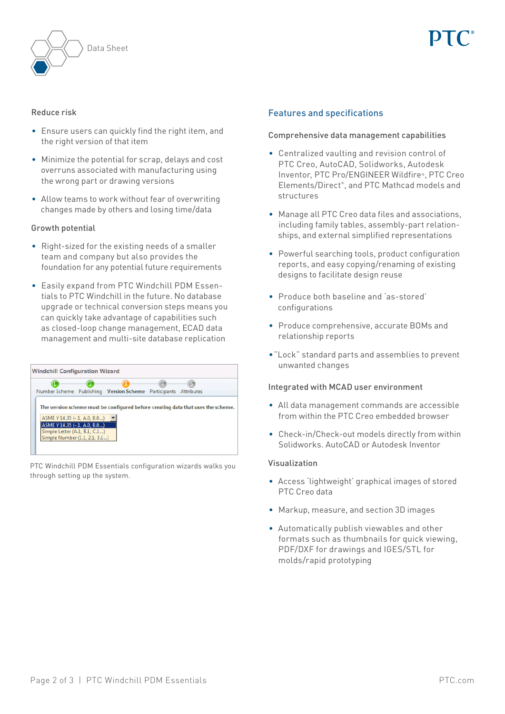

#### Reduce risk

- Ensure users can quickly find the right item, and the right version of that item
- • Minimize the potential for scrap, delays and cost overruns associated with manufacturing using the wrong part or drawing versions
- Allow teams to work without fear of overwriting changes made by others and losing time/data

#### Growth potential

- Right-sized for the existing needs of a smaller team and company but also provides the foundation for any potential future requirements
- Easily expand from PTC Windchill PDM Essentials to PTC Windchill in the future. No database upgrade or technical conversion steps means you can quickly take advantage of capabilities such as closed-loop change management, ECAD data management and multi-site database replication

|                                                               | Number Scheme Publishing Version Scheme Participants Attributes |                                                                                  |
|---------------------------------------------------------------|-----------------------------------------------------------------|----------------------------------------------------------------------------------|
|                                                               |                                                                 |                                                                                  |
|                                                               |                                                                 | The version scheme must be configured before creating data that uses the scheme. |
| ASME Y 14.35 (-.1, A.0, B.0)                                  |                                                                 |                                                                                  |
|                                                               |                                                                 |                                                                                  |
| ASME Y 14.35 (-.1, A.0, B.0)<br>Simple Letter (A.1, B.1, C.1) |                                                                 |                                                                                  |

PTC Windchill PDM Essentials configuration wizards walks you through setting up the system.

# Features and specifications

### Comprehensive data management capabilities

- • Centralized vaulting and revision control of PTC Creo, AutoCAD, Solidworks, Autodesk Inventor, PTC Pro/ENGINEER Wildfire®, PTC Creo Elements/Direct® , and PTC Mathcad models and structures
- Manage all PTC Creo data files and associations, including family tables, assembly-part relationships, and external simplified representations
- Powerful searching tools, product configuration reports, and easy copying/renaming of existing designs to facilitate design reuse
- • Produce both baseline and 'as-stored' configurations
- • Produce comprehensive, accurate BOMs and relationship reports
- "Lock" standard parts and assemblies to prevent unwanted changes

#### Integrated with MCAD user environment

- • All data management commands are accessible from within the PTC Creo embedded browser
- Check-in/Check-out models directly from within Solidworks. AutoCAD or Autodesk Inventor

#### Visualization

- • Access 'lightweight' graphical images of stored PTC Creo data
- • Markup, measure, and section 3D images
- • Automatically publish viewables and other formats such as thumbnails for quick viewing, PDF/DXF for drawings and IGES/STL for molds/rapid prototyping